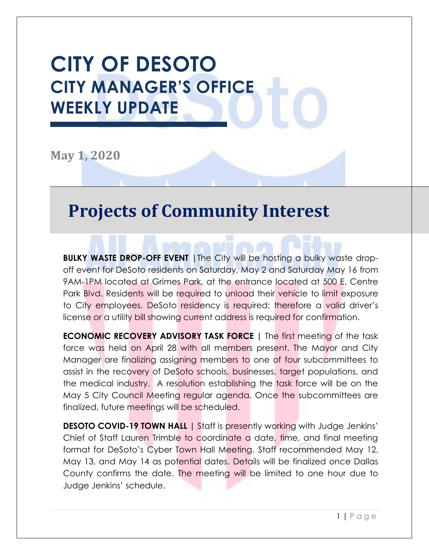# **CITY OF DESOTO CITY MANAGER'S OFFICE WEEKLY UPDATE**

**May 1, 2020**

#### **Projects of Community Interest**

**BULKY WASTE DROP-OFF EVENT** | The City will be hosting a bulky waste dropoff event for DeSoto residents on Saturday, May 2 and Saturday May 16 from 9AM-1PM located at Grimes Park, at the entrance located at 500 E. Centre Park Blvd. Residents will be required to unload their vehicle to limit exposure to City employees. DeSoto residency is required; therefore a valid driver's license or a utility bill showing current address is required for confirmation.

**ECONOMIC RECOVERY ADVISORY TASK FORCE |** The first meeting of the task force was held on April 28 with all members present. The Mayor and City Manager are finalizing assigning members to one of four subcommittees to assist in the recovery of DeSoto schools, businesses, target populations, and the medical industry. A resolution establishing the task force will be on the May 5 City Council Meeting regular agenda. Once the subcommittees are finalized, future meetings will be scheduled.

**DESOTO COVID-19 TOWN HALL** | Staff is presently working with Judge Jenkins' Chief of Staff Lauren Trimble to coordinate a date, time, and final meeting format for DeSoto's Cyber Town Hall Meeting. Staff recommended May 12, May 13, and May 14 as potential dates. Details will be finalized once Dallas County confirms the date. The meeting will be limited to one hour due to Judge Jenkins' schedule.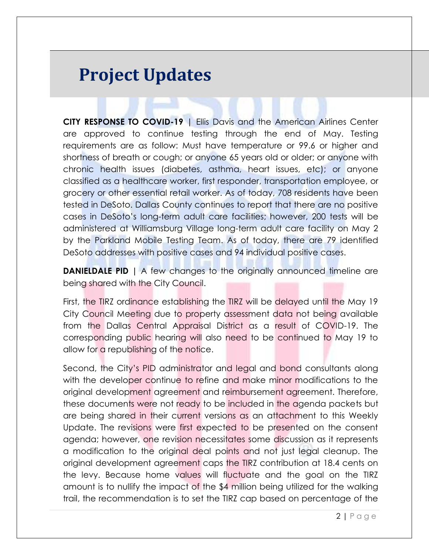## **Project Updates**

**CITY RESPONSE TO COVID-19** | Ellis Davis and the American Airlines Center are approved to continue testing through the end of May. Testing requirements are as follow: Must have temperature or 99.6 or higher and shortness of breath or cough; or anyone 65 years old or older; or anyone with chronic health issues (diabetes, asthma, heart issues, etc); or anyone classified as a healthcare worker, first responder, transportation employee, or grocery or other essential retail worker. As of today, 708 residents have been tested in DeSoto. Dallas County continues to report that there are no positive cases in DeSoto's long-term adult care facilities; however, 200 tests will be administered at Williamsburg Village long-term adult care facility on May 2 by the Parkland Mobile Testing Team. As of today, there are 79 identified DeSoto addresses with positive cases and 94 individual positive cases.

**DANIELDALE PID** | A few changes to the originally announced timeline are being shared with the City Council.

First, the TIRZ ordinance establishing the TIRZ will be delayed until the May 19 City Council Meeting due to property assessment data not being available from the Dallas Central Appraisal District as a result of COVID-19. The corresponding public hearing will also need to be continued to May 19 to allow for a republishing of the notice.

Second, the City's PID administrator and legal and bond consultants along with the developer continue to refine and make minor modifications to the original development agreement and reimbursement agreement. Therefore, these documents were not ready to be included in the agenda packets but are being shared in their current versions as an attachment to this Weekly Update. The revisions were first expected to be presented on the consent agenda; however, one revision necessitates some discussion as it represents a modification to the original deal points and not just legal cleanup. The original development agreement caps the TIRZ contribution at 18.4 cents on the levy. Because home values will fluctuate and the goal on the TIRZ amount is to nullify the impact of the \$4 million being utilized for the walking trail, the recommendation is to set the TIRZ cap based on percentage of the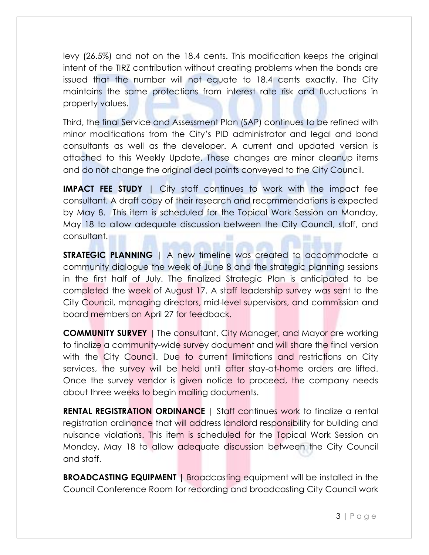levy (26.5%) and not on the 18.4 cents. This modification keeps the original intent of the TIRZ contribution without creating problems when the bonds are issued that the number will not equate to 18.4 cents exactly. The City maintains the same protections from interest rate risk and fluctuations in property values.

Third, the final Service and Assessment Plan (SAP) continues to be refined with minor modifications from the City's PID administrator and legal and bond consultants as well as the developer. A current and updated version is attached to this Weekly Update. These changes are minor cleanup items and do not change the original deal points conveyed to the City Council.

**IMPACT FEE STUDY** | City staff continues to work with the impact fee consultant. A draft copy of their research and recommendations is expected by May 8. This item is scheduled for the Topical Work Session on Monday, May 18 to allow adequate discussion between the City Council, staff, and consultant.

**STRATEGIC PLANNING** | A new timeline was created to accommodate a community dialogue the week of June 8 and the strategic planning sessions in the first half of July. The finalized Strategic Plan is anticipated to be completed the week of August 17. A staff leadership survey was sent to the City Council, managing directors, mid-level supervisors, and commission and board members on April 27 for feedback.

**COMMUNITY SURVEY |** The consultant, City Manager, and Mayor are working to finalize a community-wide survey document and will share the final version with the City Council. Due to current limitations and restrictions on City services, the survey will be held until after stay-at-home orders are lifted. Once the survey vendor is given notice to proceed, the company needs about three weeks to begin mailing documents.

**RENTAL REGISTRATION ORDINANCE |** Staff continues work to finalize a rental registration ordinance that will address landlord responsibility for building and nuisance violations. This item is scheduled for the Topical Work Session on Monday, May 18 to allow adequate discussion between the City Council and staff.

**BROADCASTING EQUIPMENT |** Broadcasting equipment will be installed in the Council Conference Room for recording and broadcasting City Council work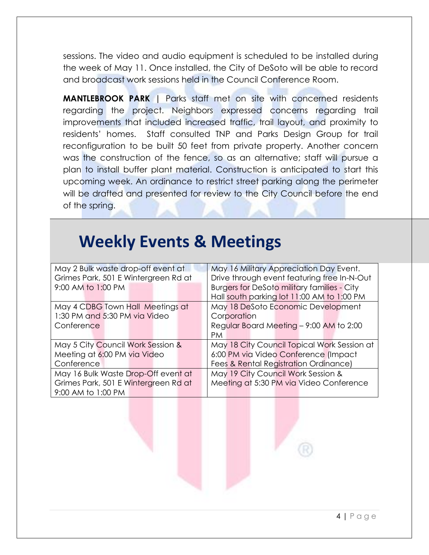sessions. The video and audio equipment is scheduled to be installed during the week of May 11. Once installed, the City of DeSoto will be able to record and broadcast work sessions held in the Council Conference Room.

**MANTLEBROOK PARK |** Parks staff met on site with concerned residents regarding the project. Neighbors expressed concerns regarding trail improvements that included increased traffic, trail layout, and proximity to residents' homes. Staff consulted TNP and Parks Design Group for trail reconfiguration to be built 50 feet from private property. Another concern was the construction of the fence, so as an alternative; staff will pursue a plan to install buffer plant material. Construction is anticipated to start this upcoming week. An ordinance to restrict street parking along the perimeter will be drafted and presented for review to the City Council before the end of the spring.

### **Weekly Events & Meetings**

| May 2 Bulk waste drop-off event at   | May 16 Military Appreciation Day Event.            |
|--------------------------------------|----------------------------------------------------|
| Grimes Park, 501 E Wintergreen Rd at | Drive through event featuring free In-N-Out        |
| 9:00 AM to 1:00 PM                   | <b>Burgers for DeSoto military families - City</b> |
|                                      | Hall south parking lot 11:00 AM to 1:00 PM         |
| May 4 CDBG Town Hall Meetings at     | May 18 DeSoto Economic Development                 |
| 1:30 PM and 5:30 PM via Video        | Corporation                                        |
| Conference                           | Regular Board Meeting - 9:00 AM to 2:00            |
|                                      | <b>PM</b>                                          |
| May 5 City Council Work Session &    | May 18 City Council Topical Work Session at        |
| Meeting at 6:00 PM via Video         | 6:00 PM via Video Conference (Impact               |
| Conference                           | Fees & Rental Registration Ordinance)              |
| May 16 Bulk Waste Drop-Off event at  | May 19 City Council Work Session &                 |
| Grimes Park, 501 E Wintergreen Rd at | Meeting at 5:30 PM via Video Conference            |
| 9:00 AM to 1:00 PM                   |                                                    |

4 | P a g e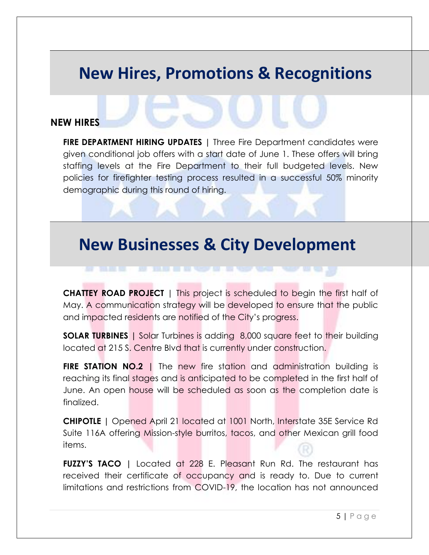#### **New Hires, Promotions & Recognitions**

#### **NEW HIRES**

**FIRE DEPARTMENT HIRING UPDATES |** Three Fire Department candidates were given conditional job offers with a start date of June 1. These offers will bring staffing levels at the Fire Department to their full budgeted levels. New policies for firefighter testing process resulted in a successful 50% minority demographic during this round of hiring.

#### **New Businesses & City Development**

**CHATTEY ROAD PROJECT** | This project is scheduled to begin the first half of May. A communication strategy will be developed to ensure that the public and impacted residents are notified of the City's progress.

**SOLAR TURBINES |** Solar Turbines is adding 8,000 square feet to their building located at 215 S. Centre Blvd that is currently under construction.

**FIRE STATION NO.2** | The new fire station and administration building is reaching its final stages and is anticipated to be completed in the first half of June. An open house will be scheduled as soon as the completion date is finalized.

**CHIPOTLE |** Opened April 21 located at 1001 North, Interstate 35E Service Rd Suite 116A offering Mission-style burritos, tacos, and other Mexican grill food items.

**FUZZY'S TACO |** Located at 228 E. Pleasant Run Rd. The restaurant has received their certificate of occupancy and is ready to. Due to current limitations and restrictions from COVID-19, the location has not announced